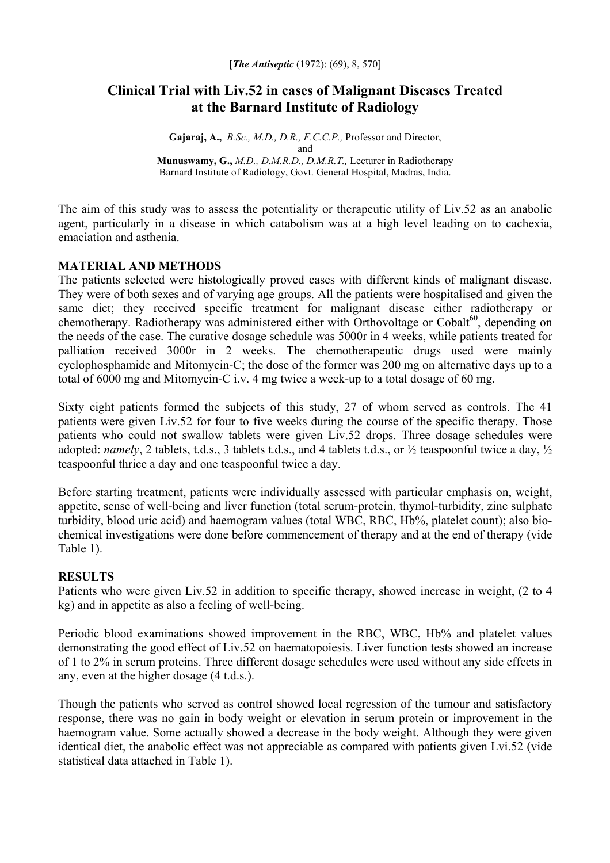# **Clinical Trial with Liv.52 in cases of Malignant Diseases Treated at the Barnard Institute of Radiology**

**Gajaraj, A.,** *B.Sc., M.D., D.R., F.C.C.P.,* Professor and Director, and **Munuswamy, G.,** *M.D., D.M.R.D., D.M.R.T.,* Lecturer in Radiotherapy Barnard Institute of Radiology, Govt. General Hospital, Madras, India.

The aim of this study was to assess the potentiality or therapeutic utility of Liv.52 as an anabolic agent, particularly in a disease in which catabolism was at a high level leading on to cachexia, emaciation and asthenia.

# **MATERIAL AND METHODS**

The patients selected were histologically proved cases with different kinds of malignant disease. They were of both sexes and of varying age groups. All the patients were hospitalised and given the same diet; they received specific treatment for malignant disease either radiotherapy or chemotherapy. Radiotherapy was administered either with Orthovoltage or Cobalt<sup>60</sup>, depending on the needs of the case. The curative dosage schedule was 5000r in 4 weeks, while patients treated for palliation received 3000r in 2 weeks. The chemotherapeutic drugs used were mainly cyclophosphamide and Mitomycin-C; the dose of the former was 200 mg on alternative days up to a total of 6000 mg and Mitomycin-C i.v. 4 mg twice a week-up to a total dosage of 60 mg.

Sixty eight patients formed the subjects of this study, 27 of whom served as controls. The 41 patients were given Liv.52 for four to five weeks during the course of the specific therapy. Those patients who could not swallow tablets were given Liv.52 drops. Three dosage schedules were adopted: *namely*, 2 tablets, t.d.s., 3 tablets t.d.s., and 4 tablets t.d.s., or ½ teaspoonful twice a day, ½ teaspoonful thrice a day and one teaspoonful twice a day.

Before starting treatment, patients were individually assessed with particular emphasis on, weight, appetite, sense of well-being and liver function (total serum-protein, thymol-turbidity, zinc sulphate turbidity, blood uric acid) and haemogram values (total WBC, RBC, Hb%, platelet count); also biochemical investigations were done before commencement of therapy and at the end of therapy (vide Table 1).

## **RESULTS**

Patients who were given Liv.52 in addition to specific therapy, showed increase in weight, (2 to 4 kg) and in appetite as also a feeling of well-being.

Periodic blood examinations showed improvement in the RBC, WBC, Hb% and platelet values demonstrating the good effect of Liv.52 on haematopoiesis. Liver function tests showed an increase of 1 to 2% in serum proteins. Three different dosage schedules were used without any side effects in any, even at the higher dosage (4 t.d.s.).

Though the patients who served as control showed local regression of the tumour and satisfactory response, there was no gain in body weight or elevation in serum protein or improvement in the haemogram value. Some actually showed a decrease in the body weight. Although they were given identical diet, the anabolic effect was not appreciable as compared with patients given Lvi.52 (vide statistical data attached in Table 1).